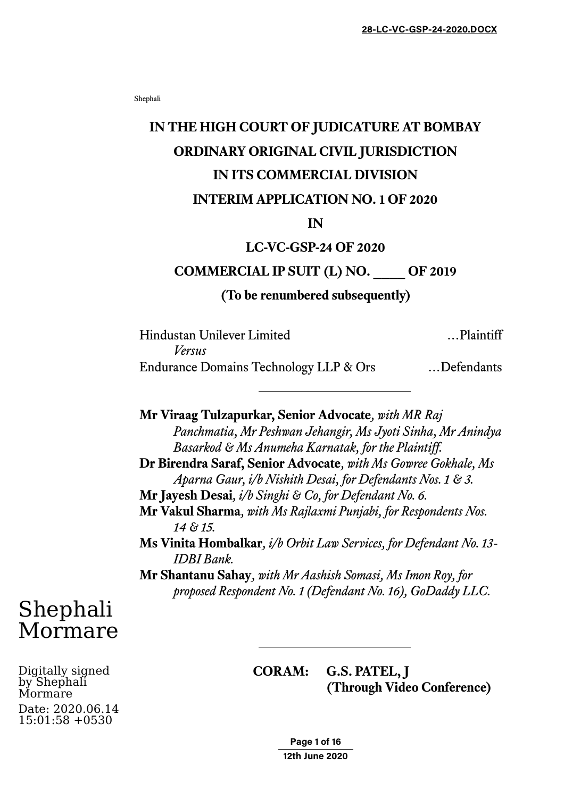Shephali

## **IN THE HIGH COURT OF JUDICATURE AT BOMBAY ORDINARY ORIGINAL CIVIL JURISDICTION IN ITS COMMERCIAL DIVISION INTERIM APPLICATION NO. 1 OF 2020**

#### **IN**

### **LC-VC-GSP-24 OF 2020**

## **COMMERCIAL IP SUIT (L) NO. \_\_\_\_ OF 2019**

#### **(To be renumbered subsequently)**

| Hindustan Unilever Limited<br>Versus | Plaintiff |
|--------------------------------------|-----------|
|                                      |           |

**Mr Viraag Tulzapurkar, Senior Advocate***, with MR Raj Panchmatia, Mr Peshwan Jehangir, Ms Jyoti Sinha, Mr Anindya Basarkod & Ms Anumeha Karnatak, for the Plaintiff.* **Dr Birendra Saraf, Senior Advocate***, with Ms Gowree Gokhale, Ms Aparna Gaur, i/b Nishith Desai, for Defendants Nos. 1 & 3.*  **Mr Jayesh Desai***, i/b Singhi & Co, for Defendant No. 6.* **Mr Vakul Sharma***, with Ms Rajlaxmi Punjabi, for Respondents Nos. 14 & 15.* **Ms Vinita Hombalkar***, i/b Orbit Law Services, for Defendant No. 13- IDBI Bank.*  **Mr Shantanu Sahay***, with Mr Aashish Somasi, Ms Imon Roy, for proposed Respondent No. 1 (Defendant No. 16), GoDaddy LLC.* 

# Shephali Mormare

Digitally signed by Shephali Mormare Date: 2020.06.14 15:01:58 +0530

**CORAM: G.S. PATEL, J (Through Video Conference)**

> **Page 1 of 16 12th June 2020**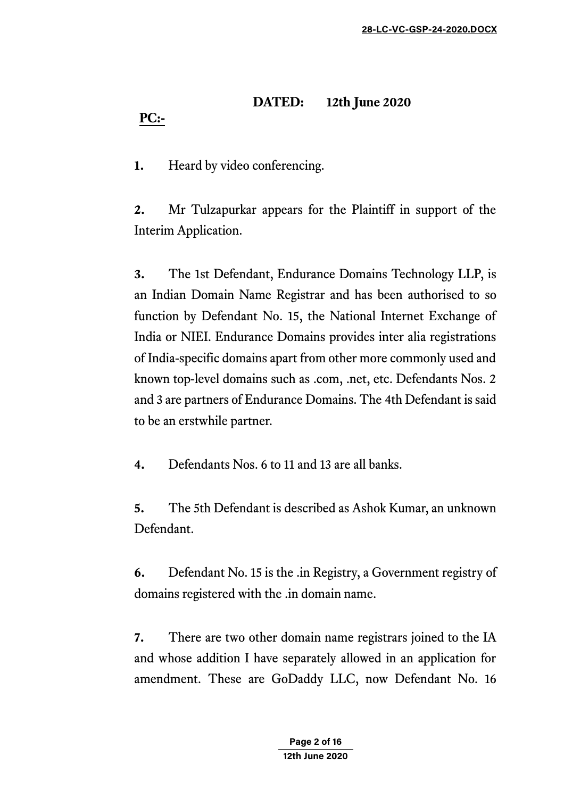## **DATED: 12th June 2020 PC:-**

**1.** Heard by video conferencing.

**2.** Mr Tulzapurkar appears for the Plaintiff in support of the Interim Application.

**3.** The 1st Defendant, Endurance Domains Technology LLP, is an Indian Domain Name Registrar and has been authorised to so function by Defendant No. 15, the National Internet Exchange of India or NIEI. Endurance Domains provides inter alia registrations of India-specific domains apart from other more commonly used and known top-level domains such as .com, .net, etc. Defendants Nos. 2 and 3 are partners of Endurance Domains. The 4th Defendant is said to be an erstwhile partner.

**4.** Defendants Nos. 6 to 11 and 13 are all banks.

**5.** The 5th Defendant is described as Ashok Kumar, an unknown Defendant.

**6.** Defendant No. 15 is the .in Registry, a Government registry of domains registered with the .in domain name.

**7.** There are two other domain name registrars joined to the IA and whose addition I have separately allowed in an application for amendment. These are GoDaddy LLC, now Defendant No. 16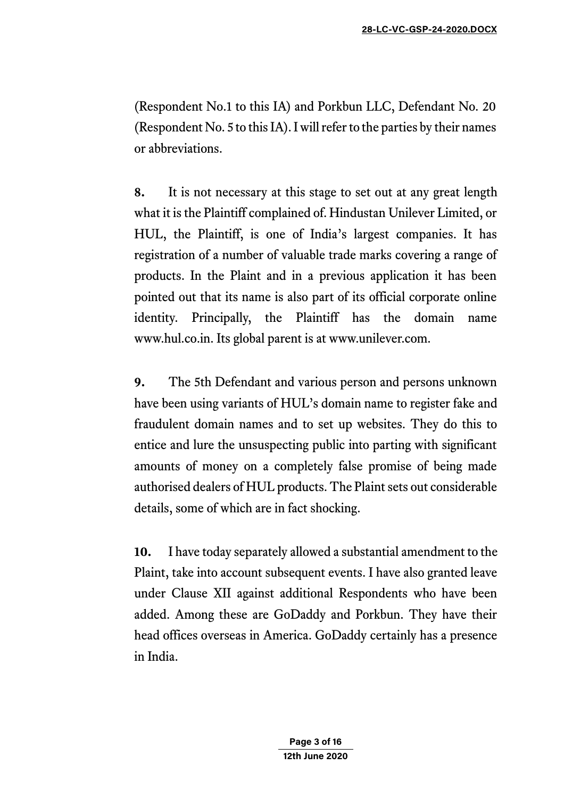(Respondent No.1 to this IA) and Porkbun LLC, Defendant No. 20 (Respondent No. 5 to this IA). I will refer to the parties by their names or abbreviations.

**8.** It is not necessary at this stage to set out at any great length what it is the Plaintiff complained of. Hindustan Unilever Limited, or HUL, the Plaintiff, is one of India's largest companies. It has registration of a number of valuable trade marks covering a range of products. In the Plaint and in a previous application it has been pointed out that its name is also part of its official corporate online identity. Principally, the Plaintiff has the domain name www.hul.co.in. Its global parent is at www.unilever.com.

**9.** The 5th Defendant and various person and persons unknown have been using variants of HUL's domain name to register fake and fraudulent domain names and to set up websites. They do this to entice and lure the unsuspecting public into parting with significant amounts of money on a completely false promise of being made authorised dealers of HUL products. The Plaint sets out considerable details, some of which are in fact shocking.

**10.** I have today separately allowed a substantial amendment to the Plaint, take into account subsequent events. I have also granted leave under Clause XII against additional Respondents who have been added. Among these are GoDaddy and Porkbun. They have their head offices overseas in America. GoDaddy certainly has a presence in India.

> **Page 3 of 16 12th June 2020**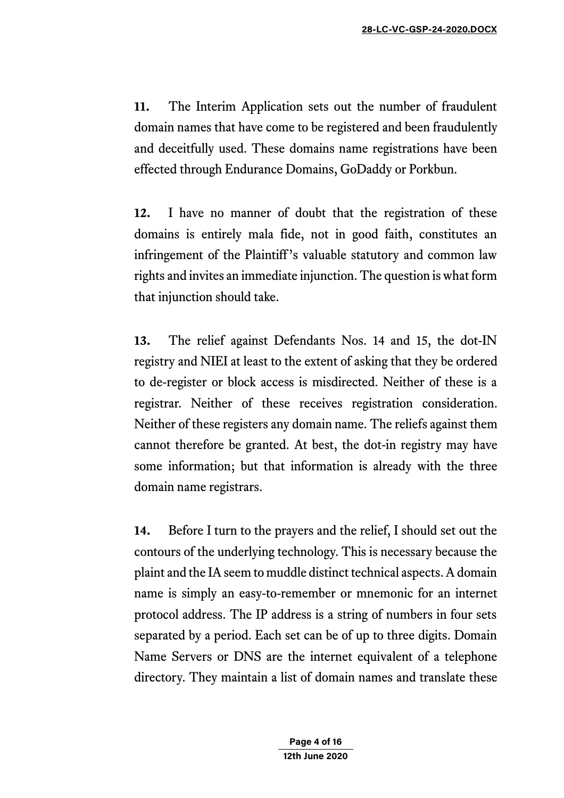**11.** The Interim Application sets out the number of fraudulent domain names that have come to be registered and been fraudulently and deceitfully used. These domains name registrations have been effected through Endurance Domains, GoDaddy or Porkbun.

**12.** I have no manner of doubt that the registration of these domains is entirely mala fide, not in good faith, constitutes an infringement of the Plaintiff's valuable statutory and common law rights and invites an immediate injunction. The question is what form that injunction should take.

**13.** The relief against Defendants Nos. 14 and 15, the dot-IN registry and NIEI at least to the extent of asking that they be ordered to de-register or block access is misdirected. Neither of these is a registrar. Neither of these receives registration consideration. Neither of these registers any domain name. The reliefs against them cannot therefore be granted. At best, the dot-in registry may have some information; but that information is already with the three domain name registrars.

**14.** Before I turn to the prayers and the relief, I should set out the contours of the underlying technology. This is necessary because the plaint and the IA seem to muddle distinct technical aspects. A domain name is simply an easy-to-remember or mnemonic for an internet protocol address. The IP address is a string of numbers in four sets separated by a period. Each set can be of up to three digits. Domain Name Servers or DNS are the internet equivalent of a telephone directory. They maintain a list of domain names and translate these

> **Page 4 of 16 12th June 2020**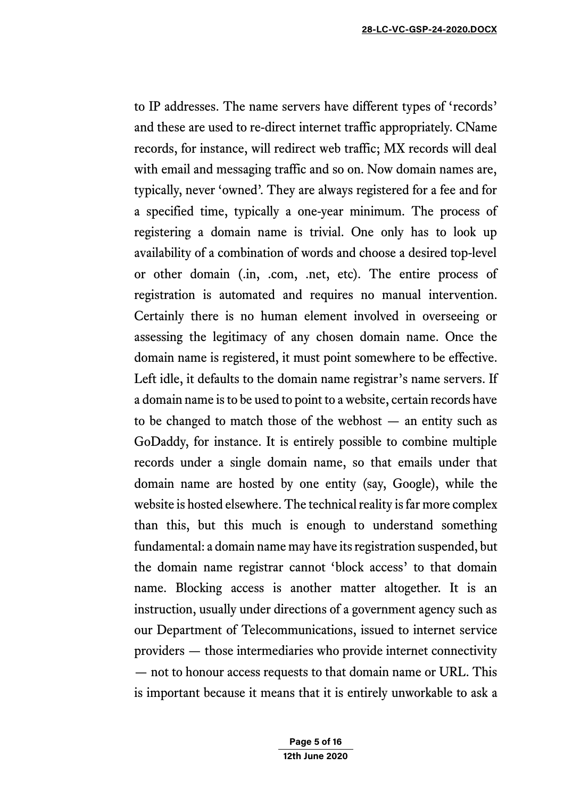to IP addresses. The name servers have different types of 'records' and these are used to re-direct internet traffic appropriately. CName records, for instance, will redirect web traffic; MX records will deal with email and messaging traffic and so on. Now domain names are, typically, never 'owned'. They are always registered for a fee and for a specified time, typically a one-year minimum. The process of registering a domain name is trivial. One only has to look up availability of a combination of words and choose a desired top-level or other domain (.in, .com, .net, etc). The entire process of registration is automated and requires no manual intervention. Certainly there is no human element involved in overseeing or assessing the legitimacy of any chosen domain name. Once the domain name is registered, it must point somewhere to be effective. Left idle, it defaults to the domain name registrar's name servers. If a domain name is to be used to point to a website, certain records have to be changed to match those of the webhost — an entity such as GoDaddy, for instance. It is entirely possible to combine multiple records under a single domain name, so that emails under that domain name are hosted by one entity (say, Google), while the website is hosted elsewhere. The technical reality is far more complex than this, but this much is enough to understand something fundamental: a domain name may have its registration suspended, but the domain name registrar cannot 'block access' to that domain name. Blocking access is another matter altogether. It is an instruction, usually under directions of a government agency such as our Department of Telecommunications, issued to internet service providers — those intermediaries who provide internet connectivity — not to honour access requests to that domain name or URL. This is important because it means that it is entirely unworkable to ask a

> **Page 5 of 16 12th June 2020**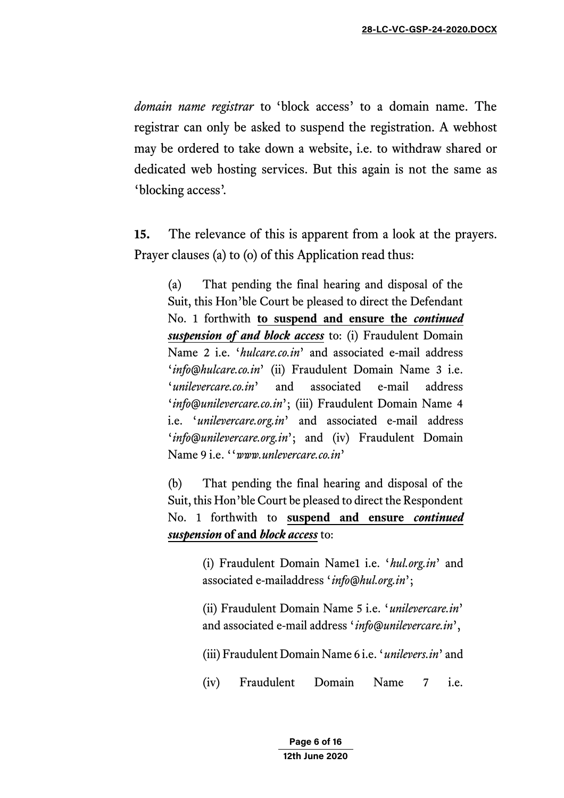*domain name registrar* to 'block access' to a domain name. The registrar can only be asked to suspend the registration. A webhost may be ordered to take down a website, i.e. to withdraw shared or dedicated web hosting services. But this again is not the same as 'blocking access'.

**15.** The relevance of this is apparent from a look at the prayers. Prayer clauses (a) to (o) of this Application read thus:

(a) That pending the final hearing and disposal of the Suit, this Hon'ble Court be pleased to direct the Defendant No. 1 forthwith **to suspend and ensure the** *continued suspension of and block access* to: (i) Fraudulent Domain Name 2 i.e. '*hulcare.co.in*' and associated e-mail address '*info@hulcare.co.in*' (ii) Fraudulent Domain Name 3 i.e. '*unilevercare.co.in*' and associated e-mail address '*info@unilevercare.co.in*'; (iii) Fraudulent Domain Name 4 i.e. '*unilevercare.org.in*' and associated e-mail address '*info@unilevercare.org.in*'; and (iv) Fraudulent Domain Name 9 i.e. ''*www.unlevercare.co.in*'

(b) That pending the final hearing and disposal of the Suit, this Hon'ble Court be pleased to direct the Respondent No. 1 forthwith to **suspend and ensure** *continued suspension* **of and** *block access* to:

> (i) Fraudulent Domain Name1 i.e. '*hul.org.in*' and associated e-mailaddress '*info@hul.org.in*';

> (ii) Fraudulent Domain Name 5 i.e. '*unilevercare.in*' and associated e-mail address '*info@unilevercare.in*',

> (iii) Fraudulent Domain Name 6 i.e. '*unilevers.in*' and

(iv) Fraudulent Domain Name 7 i.e.

**Page 6 of 16 12th June 2020**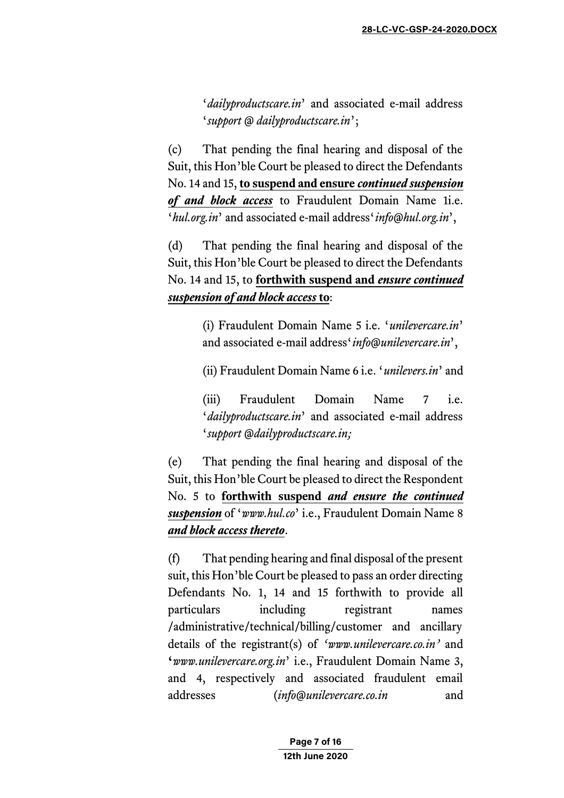'*dailyproductscare.in*' and associated e-mail address '*support @ dailyproductscare.in*';

(c) That pending the final hearing and disposal of the Suit, this Hon'ble Court be pleased to direct the Defendants No. 14 and 15, **to suspend and ensure** *continued suspension of and block access* to Fraudulent Domain Name 1i.e. '*hul.org.in*' and associated e-mail address'*info@hul.org.in*',

(d) That pending the final hearing and disposal of the Suit, this Hon'ble Court be pleased to direct the Defendants No. 14 and 15, to **forthwith suspend and** *ensure continued suspension of and block access* **to**:

> (i) Fraudulent Domain Name 5 i.e. '*unilevercare.in*' and associated e-mail address'*info@unilevercare.in*',

> (ii) Fraudulent Domain Name 6 i.e. '*unilevers.in*' and

(iii) Fraudulent Domain Name 7 i.e. '*dailyproductscare.in*' and associated e-mail address '*support @dailyproductscare.in;* 

(e) That pending the final hearing and disposal of the Suit, this Hon'ble Court be pleased to direct the Respondent No. 5 to **forthwith suspend** *and ensure the continued suspension* of '*www.hul.co*' i.e., Fraudulent Domain Name 8 *and block access thereto*.

(f) That pending hearing and final disposal of the present suit, this Hon'ble Court be pleased to pass an order directing Defendants No. 1, 14 and 15 forthwith to provide all particulars including registrant names /administrative/technical/billing/customer and ancillary details of the registrant(s) of *'www.unilevercare.co.in'* and **'***www.unilevercare.org.in*' i.e., Fraudulent Domain Name 3, and 4, respectively and associated fraudulent email addresses (*info@unilevercare.co.in* and

> **Page 7 of 16 12th June 2020**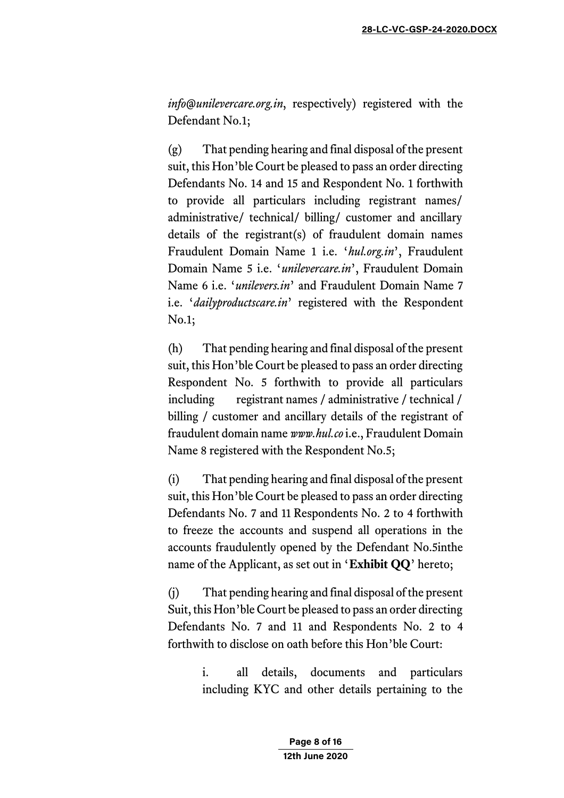*info@unilevercare.org.in*, respectively) registered with the Defendant No.1;

(g) That pending hearing and final disposal of the present suit, this Hon'ble Court be pleased to pass an order directing Defendants No. 14 and 15 and Respondent No. 1 forthwith to provide all particulars including registrant names/ administrative/ technical/ billing/ customer and ancillary details of the registrant(s) of fraudulent domain names Fraudulent Domain Name 1 i.e. '*hul.org.in*', Fraudulent Domain Name 5 i.e. '*unilevercare.in*', Fraudulent Domain Name 6 i.e. '*unilevers.in*' and Fraudulent Domain Name 7 i.e. '*dailyproductscare.in*' registered with the Respondent No.1;

(h) That pending hearing and final disposal of the present suit, this Hon'ble Court be pleased to pass an order directing Respondent No. 5 forthwith to provide all particulars including registrant names / administrative / technical / billing / customer and ancillary details of the registrant of fraudulent domain name *www.hul.co* i.e., Fraudulent Domain Name 8 registered with the Respondent No.5;

(i) That pending hearing and final disposal of the present suit, this Hon'ble Court be pleased to pass an order directing Defendants No. 7 and 11 Respondents No. 2 to 4 forthwith to freeze the accounts and suspend all operations in the accounts fraudulently opened by the Defendant No.5inthe name of the Applicant, as set out in '**Exhibit QQ**' hereto;

(j) That pending hearing and final disposal of the present Suit, this Hon'ble Court be pleased to pass an order directing Defendants No. 7 and 11 and Respondents No. 2 to 4 forthwith to disclose on oath before this Hon'ble Court:

> i. all details, documents and particulars including KYC and other details pertaining to the

> > **Page 8 of 16 12th June 2020**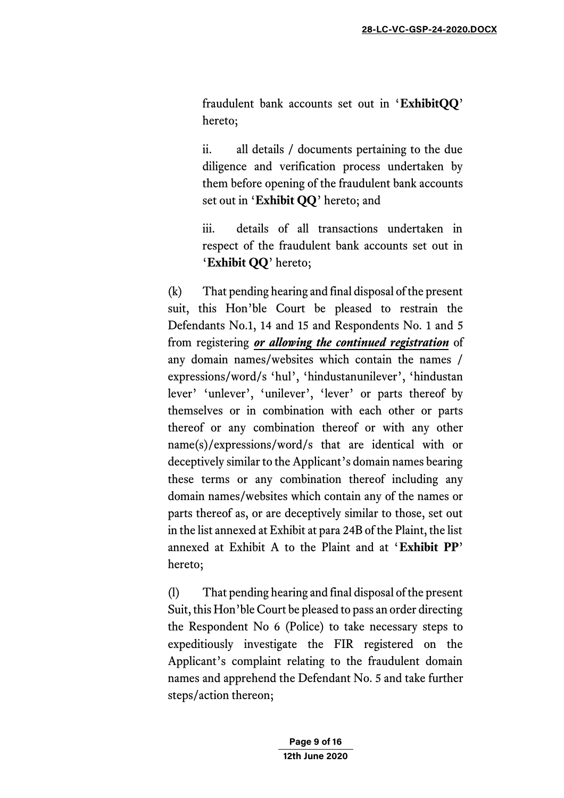fraudulent bank accounts set out in '**ExhibitQQ**' hereto;

ii. all details / documents pertaining to the due diligence and verification process undertaken by them before opening of the fraudulent bank accounts set out in '**Exhibit QQ**' hereto; and

iii. details of all transactions undertaken in respect of the fraudulent bank accounts set out in '**Exhibit QQ**' hereto;

(k) That pending hearing and final disposal of the present suit, this Hon'ble Court be pleased to restrain the Defendants No.1, 14 and 15 and Respondents No. 1 and 5 from registering *or allowing the continued registration* of any domain names/websites which contain the names / expressions/word/s 'hul', 'hindustanunilever', 'hindustan lever' 'unlever', 'unilever', 'lever' or parts thereof by themselves or in combination with each other or parts thereof or any combination thereof or with any other name(s)/expressions/word/s that are identical with or deceptively similar to the Applicant's domain names bearing these terms or any combination thereof including any domain names/websites which contain any of the names or parts thereof as, or are deceptively similar to those, set out in the list annexed at Exhibit at para 24B of the Plaint, the list annexed at Exhibit A to the Plaint and at '**Exhibit PP**' hereto;

(l) That pending hearing and final disposal of the present Suit, this Hon'ble Court be pleased to pass an order directing the Respondent No 6 (Police) to take necessary steps to expeditiously investigate the FIR registered on the Applicant's complaint relating to the fraudulent domain names and apprehend the Defendant No. 5 and take further steps/action thereon;

> **Page 9 of 16 12th June 2020**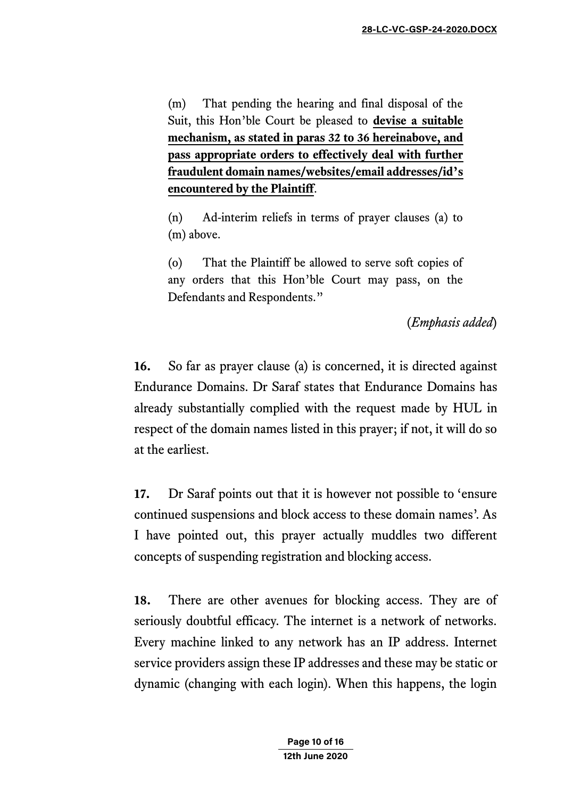(m) That pending the hearing and final disposal of the Suit, this Hon'ble Court be pleased to **devise a suitable mechanism, as stated in paras 32 to 36 hereinabove, and pass appropriate orders to effectively deal with further fraudulent domain names/websites/email addresses/id's encountered by the Plaintiff**.

(n) Ad-interim reliefs in terms of prayer clauses (a) to (m) above.

(o) That the Plaintiff be allowed to serve soft copies of any orders that this Hon'ble Court may pass, on the Defendants and Respondents."

(*Emphasis added*)

**16.** So far as prayer clause (a) is concerned, it is directed against Endurance Domains. Dr Saraf states that Endurance Domains has already substantially complied with the request made by HUL in respect of the domain names listed in this prayer; if not, it will do so at the earliest.

**17.** Dr Saraf points out that it is however not possible to 'ensure continued suspensions and block access to these domain names'. As I have pointed out, this prayer actually muddles two different concepts of suspending registration and blocking access.

**18.** There are other avenues for blocking access. They are of seriously doubtful efficacy. The internet is a network of networks. Every machine linked to any network has an IP address. Internet service providers assign these IP addresses and these may be static or dynamic (changing with each login). When this happens, the login

> **Page 10 of 16 12th June 2020**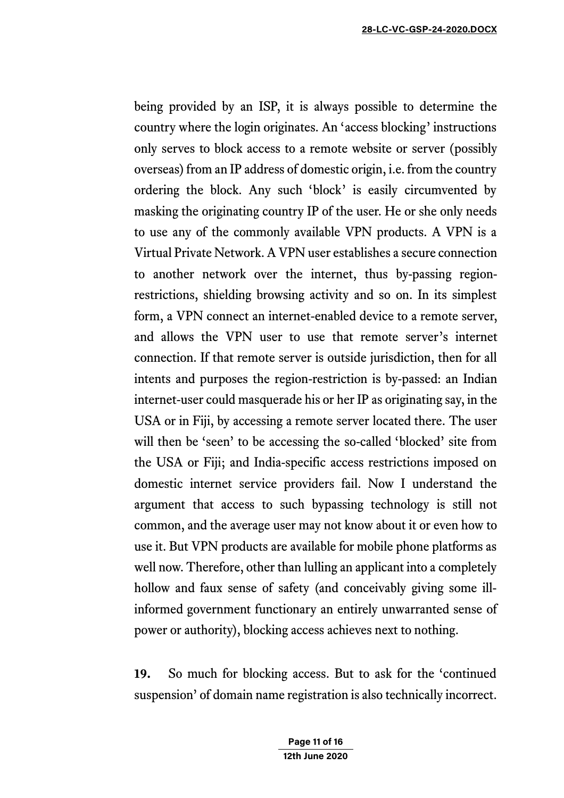being provided by an ISP, it is always possible to determine the country where the login originates. An 'access blocking' instructions only serves to block access to a remote website or server (possibly overseas) from an IP address of domestic origin, i.e. from the country ordering the block. Any such 'block' is easily circumvented by masking the originating country IP of the user. He or she only needs to use any of the commonly available VPN products. A VPN is a Virtual Private Network. A VPN user establishes a secure connection to another network over the internet, thus by-passing regionrestrictions, shielding browsing activity and so on. In its simplest form, a VPN connect an internet-enabled device to a remote server, and allows the VPN user to use that remote server's internet connection. If that remote server is outside jurisdiction, then for all intents and purposes the region-restriction is by-passed: an Indian internet-user could masquerade his or her IP as originating say, in the USA or in Fiji, by accessing a remote server located there. The user will then be 'seen' to be accessing the so-called 'blocked' site from the USA or Fiji; and India-specific access restrictions imposed on domestic internet service providers fail. Now I understand the argument that access to such bypassing technology is still not common, and the average user may not know about it or even how to use it. But VPN products are available for mobile phone platforms as well now. Therefore, other than lulling an applicant into a completely hollow and faux sense of safety (and conceivably giving some illinformed government functionary an entirely unwarranted sense of power or authority), blocking access achieves next to nothing.

**19.** So much for blocking access. But to ask for the 'continued suspension' of domain name registration is also technically incorrect.

> **Page 11 of 16 12th June 2020**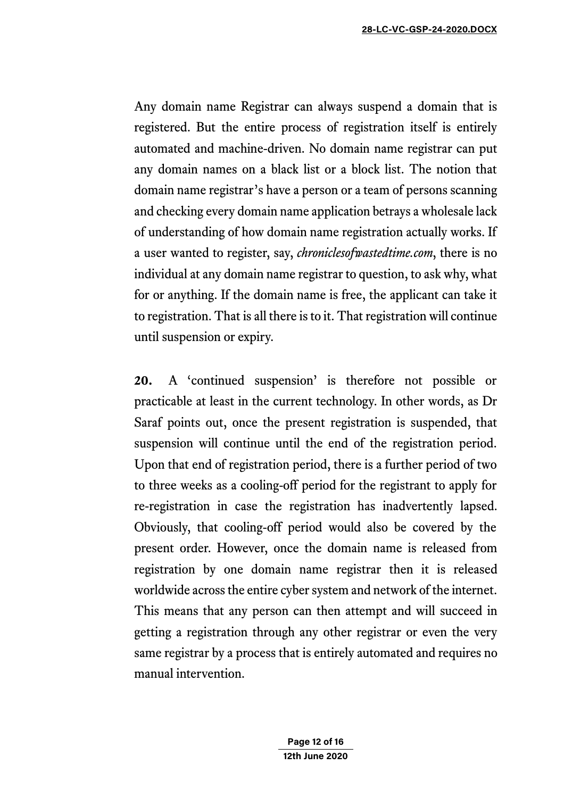Any domain name Registrar can always suspend a domain that is registered. But the entire process of registration itself is entirely automated and machine-driven. No domain name registrar can put any domain names on a black list or a block list. The notion that domain name registrar's have a person or a team of persons scanning and checking every domain name application betrays a wholesale lack of understanding of how domain name registration actually works. If a user wanted to register, say, *chroniclesofwastedtime.com*, there is no individual at any domain name registrar to question, to ask why, what for or anything. If the domain name is free, the applicant can take it to registration. That is all there is to it. That registration will continue until suspension or expiry.

**20.** A 'continued suspension' is therefore not possible or practicable at least in the current technology. In other words, as Dr Saraf points out, once the present registration is suspended, that suspension will continue until the end of the registration period. Upon that end of registration period, there is a further period of two to three weeks as a cooling-off period for the registrant to apply for re-registration in case the registration has inadvertently lapsed. Obviously, that cooling-off period would also be covered by the present order. However, once the domain name is released from registration by one domain name registrar then it is released worldwide across the entire cyber system and network of the internet. This means that any person can then attempt and will succeed in getting a registration through any other registrar or even the very same registrar by a process that is entirely automated and requires no manual intervention.

> **Page 12 of 16 12th June 2020**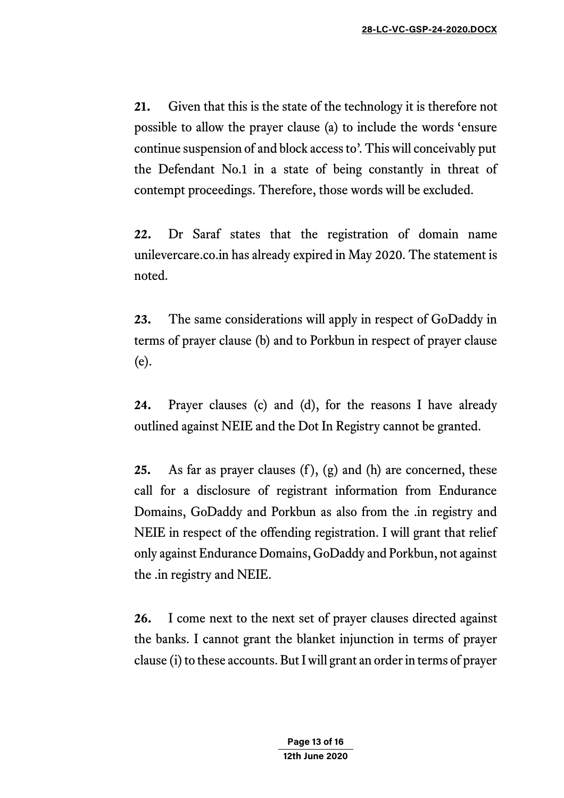**21.** Given that this is the state of the technology it is therefore not possible to allow the prayer clause (a) to include the words 'ensure continue suspension of and block access to'. This will conceivably put the Defendant No.1 in a state of being constantly in threat of contempt proceedings. Therefore, those words will be excluded.

**22.** Dr Saraf states that the registration of domain name unilevercare.co.in has already expired in May 2020. The statement is noted.

**23.** The same considerations will apply in respect of GoDaddy in terms of prayer clause (b) and to Porkbun in respect of prayer clause (e).

**24.** Prayer clauses (c) and (d), for the reasons I have already outlined against NEIE and the Dot In Registry cannot be granted.

**25.** As far as prayer clauses (f), (g) and (h) are concerned, these call for a disclosure of registrant information from Endurance Domains, GoDaddy and Porkbun as also from the .in registry and NEIE in respect of the offending registration. I will grant that relief only against Endurance Domains, GoDaddy and Porkbun, not against the .in registry and NEIE.

**26.** I come next to the next set of prayer clauses directed against the banks. I cannot grant the blanket injunction in terms of prayer clause (i) to these accounts. But I will grant an order in terms of prayer

> **Page 13 of 16 12th June 2020**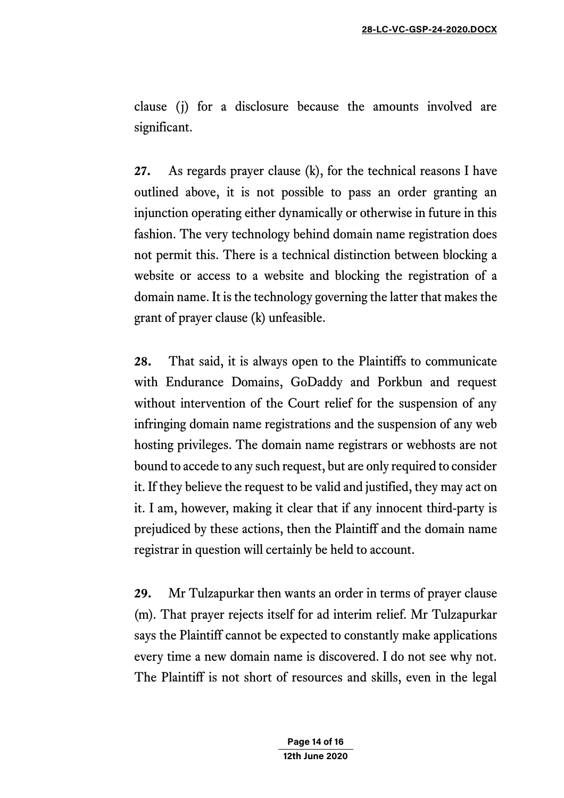clause (j) for a disclosure because the amounts involved are significant.

**27.** As regards prayer clause (k), for the technical reasons I have outlined above, it is not possible to pass an order granting an injunction operating either dynamically or otherwise in future in this fashion. The very technology behind domain name registration does not permit this. There is a technical distinction between blocking a website or access to a website and blocking the registration of a domain name. It is the technology governing the latter that makes the grant of prayer clause (k) unfeasible.

**28.** That said, it is always open to the Plaintiffs to communicate with Endurance Domains, GoDaddy and Porkbun and request without intervention of the Court relief for the suspension of any infringing domain name registrations and the suspension of any web hosting privileges. The domain name registrars or webhosts are not bound to accede to any such request, but are only required to consider it. If they believe the request to be valid and justified, they may act on it. I am, however, making it clear that if any innocent third-party is prejudiced by these actions, then the Plaintiff and the domain name registrar in question will certainly be held to account.

**29.** Mr Tulzapurkar then wants an order in terms of prayer clause (m). That prayer rejects itself for ad interim relief. Mr Tulzapurkar says the Plaintiff cannot be expected to constantly make applications every time a new domain name is discovered. I do not see why not. The Plaintiff is not short of resources and skills, even in the legal

> **Page 14 of 16 12th June 2020**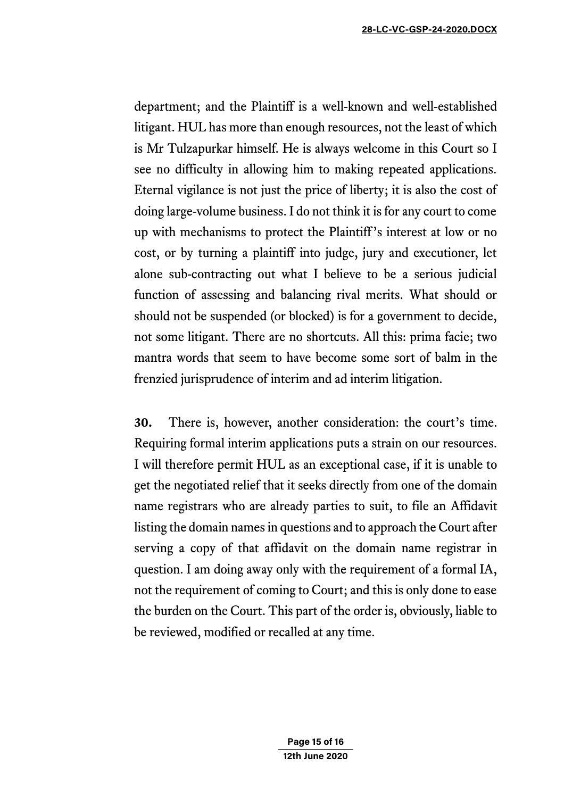department; and the Plaintiff is a well-known and well-established litigant. HUL has more than enough resources, not the least of which is Mr Tulzapurkar himself. He is always welcome in this Court so I see no difficulty in allowing him to making repeated applications. Eternal vigilance is not just the price of liberty; it is also the cost of doing large-volume business. I do not think it is for any court to come up with mechanisms to protect the Plaintiff's interest at low or no cost, or by turning a plaintiff into judge, jury and executioner, let alone sub-contracting out what I believe to be a serious judicial function of assessing and balancing rival merits. What should or should not be suspended (or blocked) is for a government to decide, not some litigant. There are no shortcuts. All this: prima facie; two mantra words that seem to have become some sort of balm in the frenzied jurisprudence of interim and ad interim litigation.

**30.** There is, however, another consideration: the court's time. Requiring formal interim applications puts a strain on our resources. I will therefore permit HUL as an exceptional case, if it is unable to get the negotiated relief that it seeks directly from one of the domain name registrars who are already parties to suit, to file an Affidavit listing the domain names in questions and to approach the Court after serving a copy of that affidavit on the domain name registrar in question. I am doing away only with the requirement of a formal IA, not the requirement of coming to Court; and this is only done to ease the burden on the Court. This part of the order is, obviously, liable to be reviewed, modified or recalled at any time.

> **Page 15 of 16 12th June 2020**